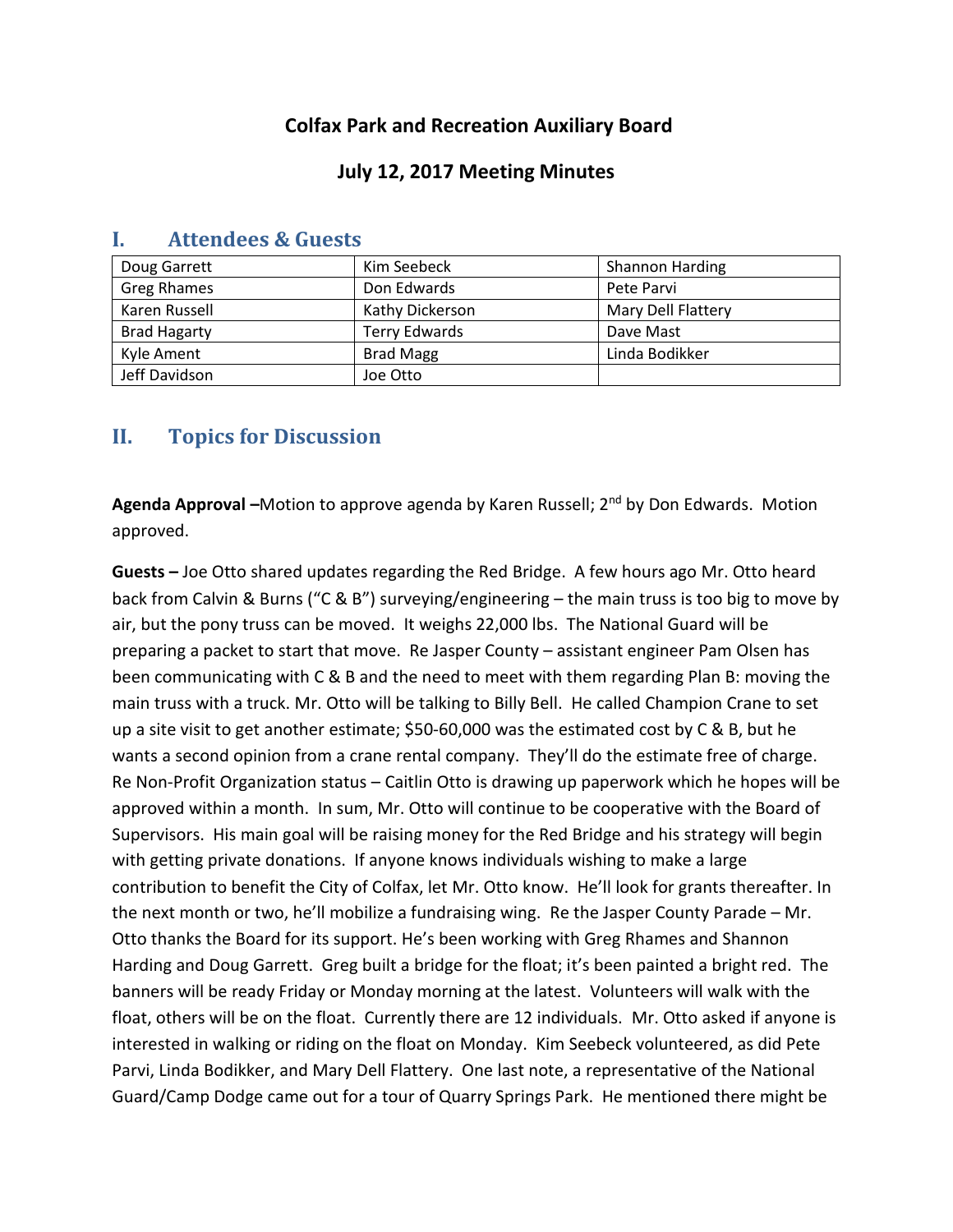# **Colfax Park and Recreation Auxiliary Board**

### **July 12, 2017 Meeting Minutes**

| Doug Garrett        | Kim Seebeck          | <b>Shannon Harding</b> |
|---------------------|----------------------|------------------------|
| Greg Rhames         | Don Edwards          | Pete Parvi             |
| Karen Russell       | Kathy Dickerson      | Mary Dell Flattery     |
| <b>Brad Hagarty</b> | <b>Terry Edwards</b> | Dave Mast              |
| Kyle Ament          | <b>Brad Magg</b>     | Linda Bodikker         |
| Jeff Davidson       | Joe Otto             |                        |

### **I. Attendees & Guests**

## **II. Topics for Discussion**

Agenda Approval –Motion to approve agenda by Karen Russell; 2<sup>nd</sup> by Don Edwards. Motion approved.

**Guests –** Joe Otto shared updates regarding the Red Bridge. A few hours ago Mr. Otto heard back from Calvin & Burns ("C & B") surveying/engineering – the main truss is too big to move by air, but the pony truss can be moved. It weighs 22,000 lbs. The National Guard will be preparing a packet to start that move. Re Jasper County – assistant engineer Pam Olsen has been communicating with C & B and the need to meet with them regarding Plan B: moving the main truss with a truck. Mr. Otto will be talking to Billy Bell. He called Champion Crane to set up a site visit to get another estimate; \$50-60,000 was the estimated cost by C & B, but he wants a second opinion from a crane rental company. They'll do the estimate free of charge. Re Non-Profit Organization status – Caitlin Otto is drawing up paperwork which he hopes will be approved within a month. In sum, Mr. Otto will continue to be cooperative with the Board of Supervisors. His main goal will be raising money for the Red Bridge and his strategy will begin with getting private donations. If anyone knows individuals wishing to make a large contribution to benefit the City of Colfax, let Mr. Otto know. He'll look for grants thereafter. In the next month or two, he'll mobilize a fundraising wing. Re the Jasper County Parade – Mr. Otto thanks the Board for its support. He's been working with Greg Rhames and Shannon Harding and Doug Garrett. Greg built a bridge for the float; it's been painted a bright red. The banners will be ready Friday or Monday morning at the latest. Volunteers will walk with the float, others will be on the float. Currently there are 12 individuals. Mr. Otto asked if anyone is interested in walking or riding on the float on Monday. Kim Seebeck volunteered, as did Pete Parvi, Linda Bodikker, and Mary Dell Flattery. One last note, a representative of the National Guard/Camp Dodge came out for a tour of Quarry Springs Park. He mentioned there might be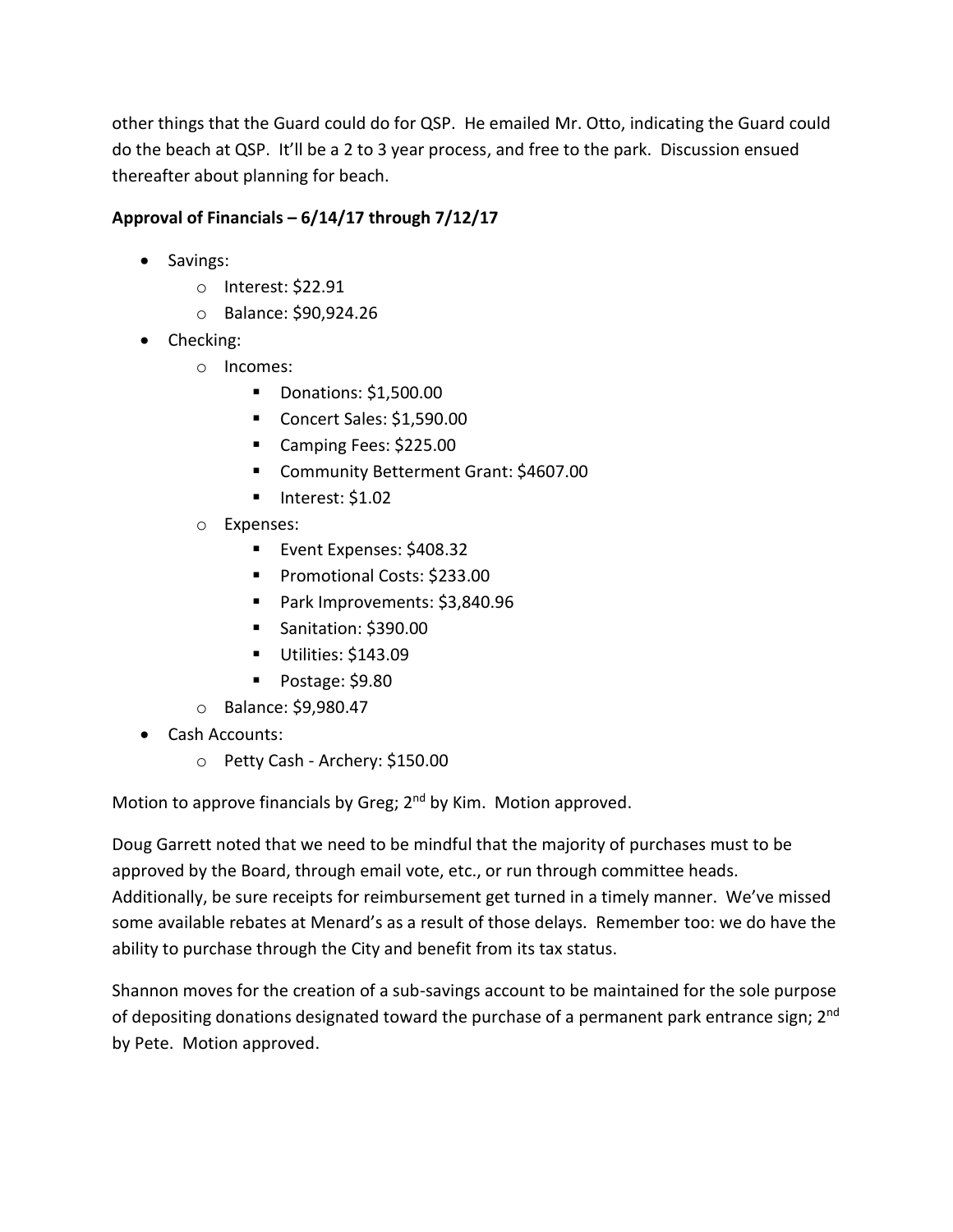other things that the Guard could do for QSP. He emailed Mr. Otto, indicating the Guard could do the beach at QSP. It'll be a 2 to 3 year process, and free to the park. Discussion ensued thereafter about planning for beach.

## **Approval of Financials – 6/14/17 through 7/12/17**

- Savings:
	- o Interest: \$22.91
	- o Balance: \$90,924.26
- Checking:
	- o Incomes:
		- **Donations: \$1,500.00**
		- Concert Sales: \$1,590.00
		- Camping Fees: \$225.00
		- Community Betterment Grant: \$4607.00
		- $\blacksquare$  Interest: \$1.02
	- o Expenses:
		- Event Expenses: \$408.32
		- **Promotional Costs: \$233.00**
		- Park Improvements: \$3,840.96
		- Sanitation: \$390.00
		- Utilities: \$143.09
		- Postage: \$9.80
	- o Balance: \$9,980.47
- Cash Accounts:
	- o Petty Cash Archery: \$150.00

Motion to approve financials by Greg; 2<sup>nd</sup> by Kim. Motion approved.

Doug Garrett noted that we need to be mindful that the majority of purchases must to be approved by the Board, through email vote, etc., or run through committee heads. Additionally, be sure receipts for reimbursement get turned in a timely manner. We've missed some available rebates at Menard's as a result of those delays. Remember too: we do have the ability to purchase through the City and benefit from its tax status.

Shannon moves for the creation of a sub-savings account to be maintained for the sole purpose of depositing donations designated toward the purchase of a permanent park entrance sign; 2<sup>nd</sup> by Pete. Motion approved.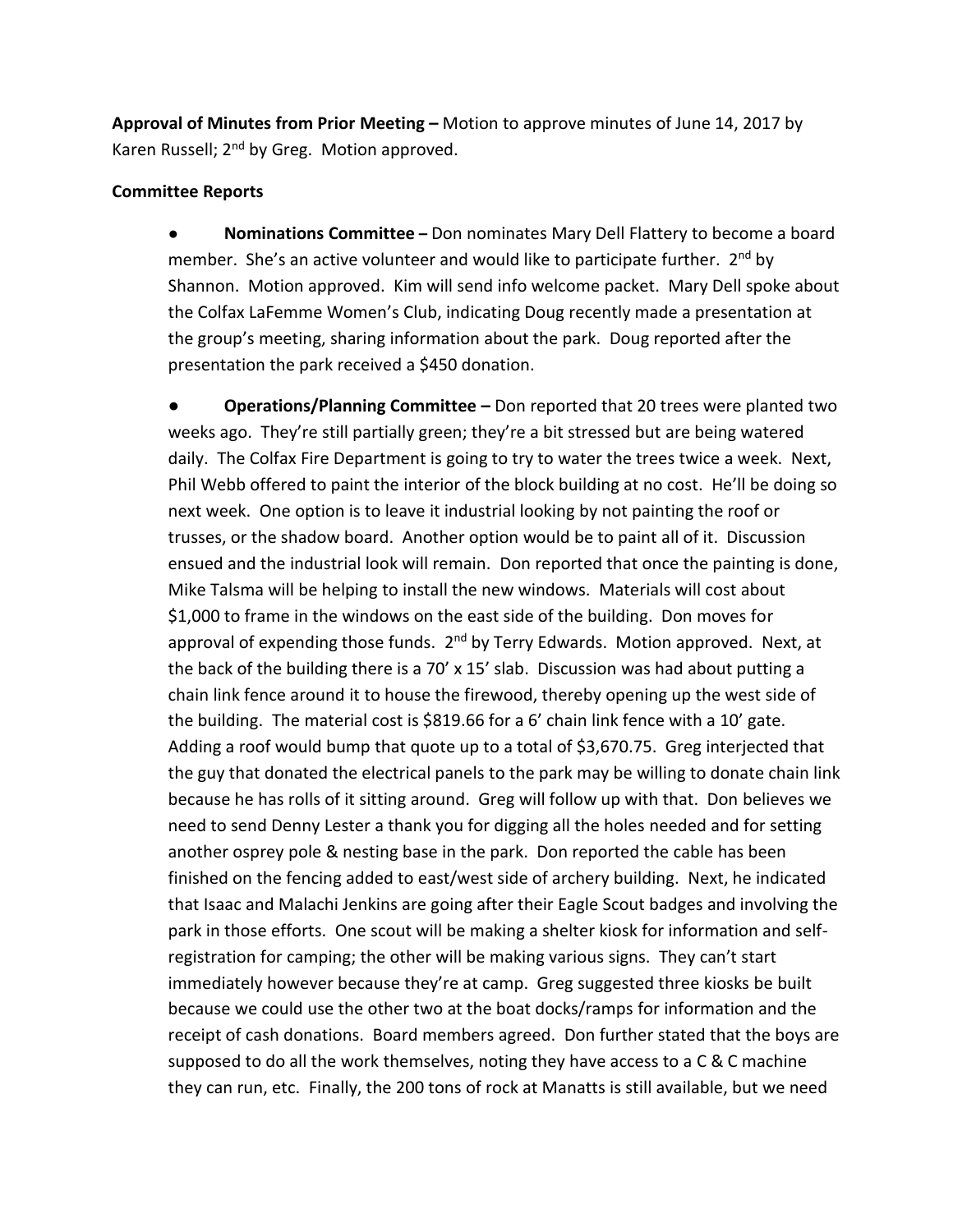**Approval of Minutes from Prior Meeting –** Motion to approve minutes of June 14, 2017 by Karen Russell; 2<sup>nd</sup> by Greg. Motion approved.

#### **Committee Reports**

● **Nominations Committee –** Don nominates Mary Dell Flattery to become a board member. She's an active volunteer and would like to participate further. 2<sup>nd</sup> by Shannon. Motion approved. Kim will send info welcome packet. Mary Dell spoke about the Colfax LaFemme Women's Club, indicating Doug recently made a presentation at the group's meeting, sharing information about the park. Doug reported after the presentation the park received a \$450 donation.

**● Operations/Planning Committee –** Don reported that 20 trees were planted two weeks ago. They're still partially green; they're a bit stressed but are being watered daily. The Colfax Fire Department is going to try to water the trees twice a week. Next, Phil Webb offered to paint the interior of the block building at no cost. He'll be doing so next week. One option is to leave it industrial looking by not painting the roof or trusses, or the shadow board. Another option would be to paint all of it. Discussion ensued and the industrial look will remain. Don reported that once the painting is done, Mike Talsma will be helping to install the new windows. Materials will cost about \$1,000 to frame in the windows on the east side of the building. Don moves for approval of expending those funds. 2<sup>nd</sup> by Terry Edwards. Motion approved. Next, at the back of the building there is a 70'  $\times$  15' slab. Discussion was had about putting a chain link fence around it to house the firewood, thereby opening up the west side of the building. The material cost is \$819.66 for a 6' chain link fence with a 10' gate. Adding a roof would bump that quote up to a total of \$3,670.75. Greg interjected that the guy that donated the electrical panels to the park may be willing to donate chain link because he has rolls of it sitting around. Greg will follow up with that. Don believes we need to send Denny Lester a thank you for digging all the holes needed and for setting another osprey pole & nesting base in the park. Don reported the cable has been finished on the fencing added to east/west side of archery building. Next, he indicated that Isaac and Malachi Jenkins are going after their Eagle Scout badges and involving the park in those efforts. One scout will be making a shelter kiosk for information and selfregistration for camping; the other will be making various signs. They can't start immediately however because they're at camp. Greg suggested three kiosks be built because we could use the other two at the boat docks/ramps for information and the receipt of cash donations. Board members agreed. Don further stated that the boys are supposed to do all the work themselves, noting they have access to a C & C machine they can run, etc. Finally, the 200 tons of rock at Manatts is still available, but we need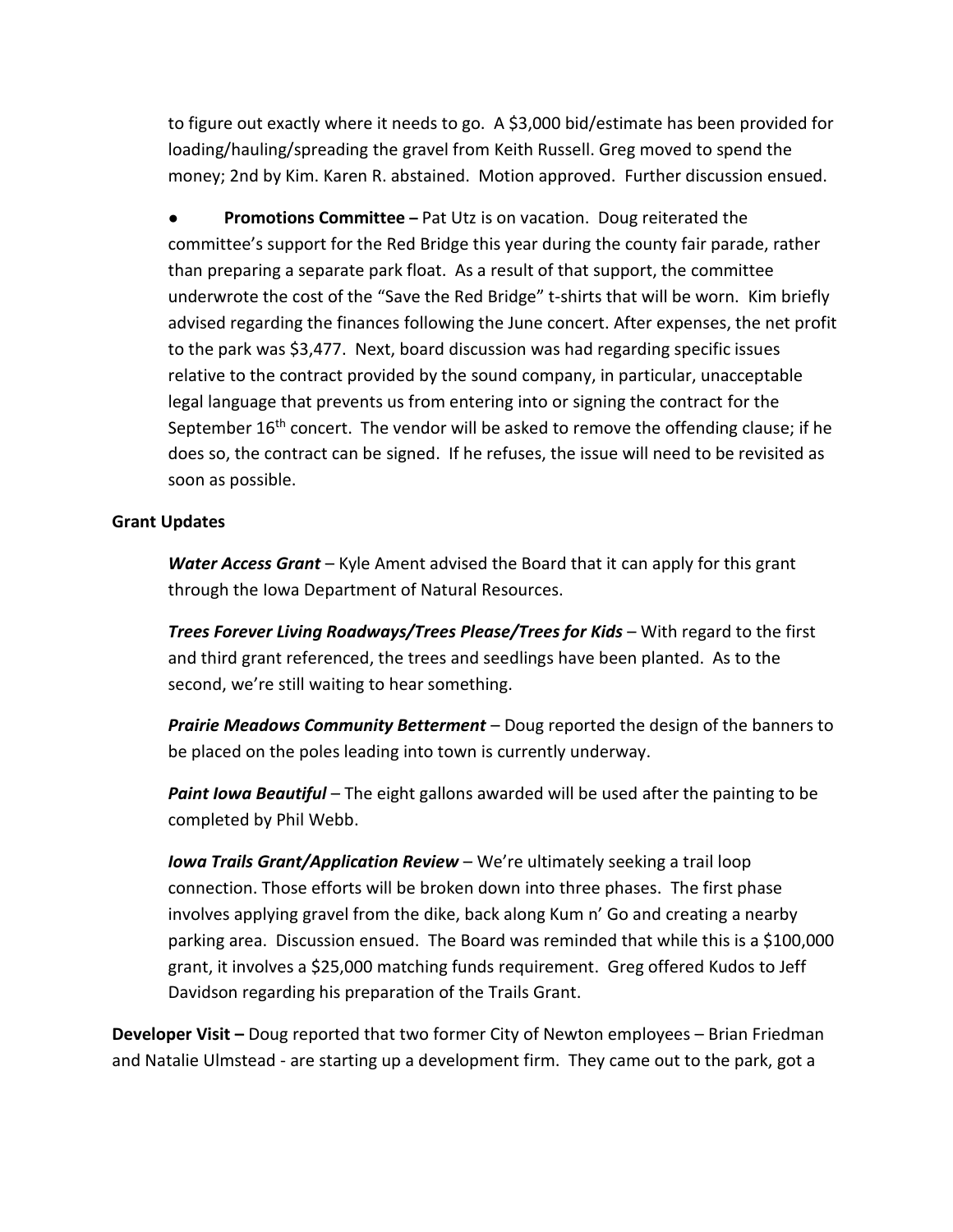to figure out exactly where it needs to go. A \$3,000 bid/estimate has been provided for loading/hauling/spreading the gravel from Keith Russell. Greg moved to spend the money; 2nd by Kim. Karen R. abstained. Motion approved. Further discussion ensued.

**Promotions Committee** – Pat Utz is on vacation. Doug reiterated the committee's support for the Red Bridge this year during the county fair parade, rather than preparing a separate park float. As a result of that support, the committee underwrote the cost of the "Save the Red Bridge" t-shirts that will be worn. Kim briefly advised regarding the finances following the June concert. After expenses, the net profit to the park was \$3,477. Next, board discussion was had regarding specific issues relative to the contract provided by the sound company, in particular, unacceptable legal language that prevents us from entering into or signing the contract for the September 16<sup>th</sup> concert. The vendor will be asked to remove the offending clause; if he does so, the contract can be signed. If he refuses, the issue will need to be revisited as soon as possible.

#### **Grant Updates**

*Water Access Grant* – Kyle Ament advised the Board that it can apply for this grant through the Iowa Department of Natural Resources.

*Trees Forever Living Roadways/Trees Please/Trees for Kids* – With regard to the first and third grant referenced, the trees and seedlings have been planted. As to the second, we're still waiting to hear something.

*Prairie Meadows Community Betterment* – Doug reported the design of the banners to be placed on the poles leading into town is currently underway.

*Paint Iowa Beautiful* – The eight gallons awarded will be used after the painting to be completed by Phil Webb.

*Iowa Trails Grant/Application Review* – We're ultimately seeking a trail loop connection. Those efforts will be broken down into three phases. The first phase involves applying gravel from the dike, back along Kum n' Go and creating a nearby parking area. Discussion ensued. The Board was reminded that while this is a \$100,000 grant, it involves a \$25,000 matching funds requirement. Greg offered Kudos to Jeff Davidson regarding his preparation of the Trails Grant.

**Developer Visit –** Doug reported that two former City of Newton employees – Brian Friedman and Natalie Ulmstead - are starting up a development firm. They came out to the park, got a